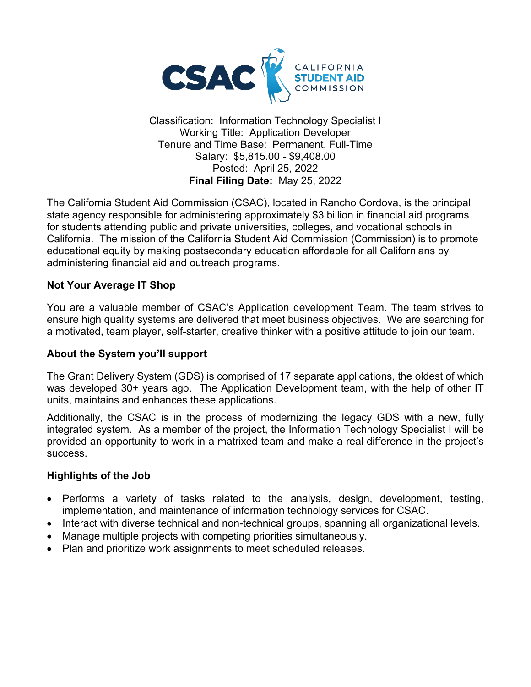

Classification: Information Technology Specialist I Working Title: Application Developer Tenure and Time Base: Permanent, Full-Time Salary: \$5,815.00 - \$9,408.00 Posted: April 25, 2022 **Final Filing Date:** May 25, 2022

The California Student Aid Commission (CSAC), located in Rancho Cordova, is the principal state agency responsible for administering approximately \$3 billion in financial aid programs for students attending public and private universities, colleges, and vocational schools in California. The mission of the California Student Aid Commission (Commission) is to promote educational equity by making postsecondary education affordable for all Californians by administering financial aid and outreach programs.

#### **Not Your Average IT Shop**

You are a valuable member of CSAC's Application development Team. The team strives to ensure high quality systems are delivered that meet business objectives. We are searching for a motivated, team player, self-starter, creative thinker with a positive attitude to join our team.

#### **About the System you'll support**

The Grant Delivery System (GDS) is comprised of 17 separate applications, the oldest of which was developed 30+ years ago. The Application Development team, with the help of other IT units, maintains and enhances these applications.

Additionally, the CSAC is in the process of modernizing the legacy GDS with a new, fully integrated system. As a member of the project, the Information Technology Specialist I will be provided an opportunity to work in a matrixed team and make a real difference in the project's success.

#### **Highlights of the Job**

- Performs a variety of tasks related to the analysis, design, development, testing, implementation, and maintenance of information technology services for CSAC.
- Interact with diverse technical and non-technical groups, spanning all organizational levels.
- Manage multiple projects with competing priorities simultaneously.
- Plan and prioritize work assignments to meet scheduled releases.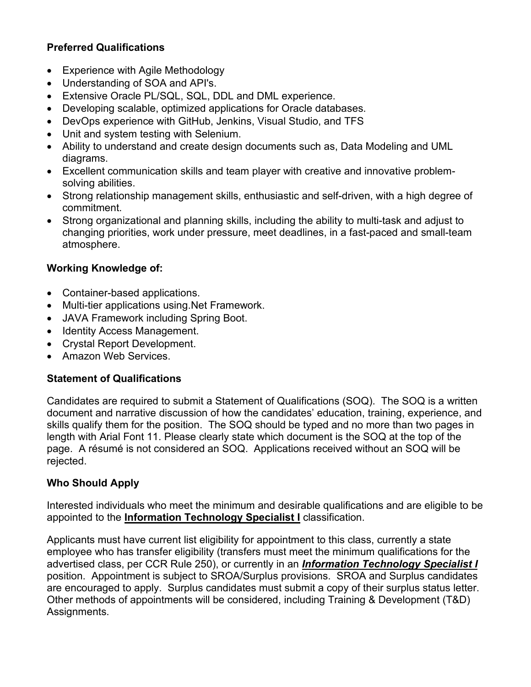### **Preferred Qualifications**

- Experience with Agile Methodology
- Understanding of SOA and API's.
- Extensive Oracle PL/SQL, SQL, DDL and DML experience.
- Developing scalable, optimized applications for Oracle databases.
- DevOps experience with GitHub, Jenkins, Visual Studio, and TFS
- Unit and system testing with Selenium.
- Ability to understand and create design documents such as, Data Modeling and UML diagrams.
- Excellent communication skills and team player with creative and innovative problemsolving abilities.
- Strong relationship management skills, enthusiastic and self-driven, with a high degree of commitment.
- Strong organizational and planning skills, including the ability to multi-task and adjust to changing priorities, work under pressure, meet deadlines, in a fast-paced and small-team atmosphere.

#### **Working Knowledge of:**

- Container-based applications.
- Multi-tier applications using.Net Framework.
- JAVA Framework including Spring Boot.
- Identity Access Management.
- Crystal Report Development.
- Amazon Web Services.

#### **Statement of Qualifications**

Candidates are required to submit a Statement of Qualifications (SOQ). The SOQ is a written document and narrative discussion of how the candidates' education, training, experience, and skills qualify them for the position. The SOQ should be typed and no more than two pages in length with Arial Font 11. Please clearly state which document is the SOQ at the top of the page. A résumé is not considered an SOQ. Applications received without an SOQ will be rejected.

### **Who Should Apply**

Interested individuals who meet the minimum and desirable qualifications and are eligible to be appointed to the **Information Technology Specialist I** classification.

Applicants must have current list eligibility for appointment to this class, currently a state employee who has transfer eligibility (transfers must meet the minimum qualifications for the advertised class, per CCR Rule 250), or currently in an *Information Technology Specialist I* position. Appointment is subject to SROA/Surplus provisions. SROA and Surplus candidates are encouraged to apply. Surplus candidates must submit a copy of their surplus status letter. Other methods of appointments will be considered, including Training & Development (T&D) Assignments.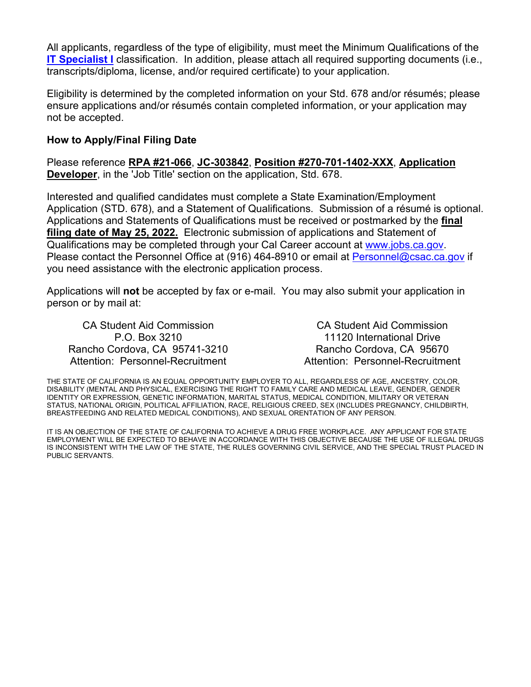All applicants, regardless of the type of eligibility, must meet the Minimum Qualifications of the **IT Specialist I** classification. In addition, please attach all required supporting documents (i.e., transcripts/diploma, license, and/or required certificate) to your application.

Eligibility is determined by the completed information on your Std. 678 and/or résumés; please ensure applications and/or résumés contain completed information, or your application may not be accepted.

#### **How to Apply/Final Filing Date**

Please reference **RPA #21-066**, **JC-303842**, **Position #270-701-1402-XXX**, **Application Developer**, in the 'Job Title' section on the application, Std. 678.

Interested and qualified candidates must complete a State Examination/Employment Application (STD. 678), and a Statement of Qualifications. Submission of a résumé is optional. Applications and Statements of Qualifications must be received or postmarked by the **final filing date of May 25, 2022.** Electronic submission of applications and Statement of Qualifications may be completed through your Cal Career account at [www.jobs.ca.gov.](http://www.jobs.ca.gov/) Please contact the Personnel Office at (916) 464-8910 or email at [Personnel@csac.ca.gov](mailto:Personnel@csac.ca.gov) if you need assistance with the electronic application process.

Applications will **not** be accepted by fax or e-mail. You may also submit your application in person or by mail at:

CA Student Aid Commission P.O. Box 3210 Rancho Cordova, CA 95741-3210 Attention: Personnel-Recruitment

CA Student Aid Commission 11120 International Drive Rancho Cordova, CA 95670 Attention: Personnel-Recruitment

THE STATE OF CALIFORNIA IS AN EQUAL OPPORTUNITY EMPLOYER TO ALL, REGARDLESS OF AGE, ANCESTRY, COLOR, DISABILITY (MENTAL AND PHYSICAL, EXERCISING THE RIGHT TO FAMILY CARE AND MEDICAL LEAVE, GENDER, GENDER IDENTITY OR EXPRESSION, GENETIC INFORMATION, MARITAL STATUS, MEDICAL CONDITION, MILITARY OR VETERAN STATUS, NATIONAL ORIGIN, POLITICAL AFFILIATION, RACE, RELIGIOUS CREED, SEX (INCLUDES PREGNANCY, CHILDBIRTH, BREASTFEEDING AND RELATED MEDICAL CONDITIONS), AND SEXUAL ORENTATION OF ANY PERSON.

IT IS AN OBJECTION OF THE STATE OF CALIFORNIA TO ACHIEVE A DRUG FREE WORKPLACE. ANY APPLICANT FOR STATE EMPLOYMENT WILL BE EXPECTED TO BEHAVE IN ACCORDANCE WITH THIS OBJECTIVE BECAUSE THE USE OF ILLEGAL DRUGS IS INCONSISTENT WITH THE LAW OF THE STATE, THE RULES GOVERNING CIVIL SERVICE, AND THE SPECIAL TRUST PLACED IN PUBLIC SERVANTS.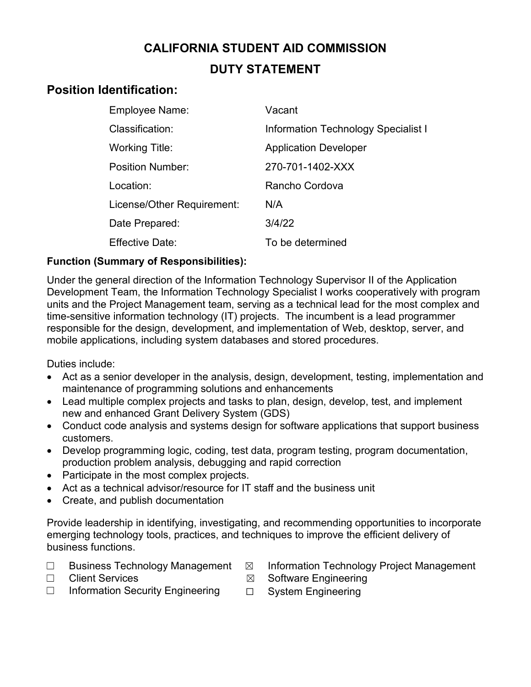# **CALIFORNIA STUDENT AID COMMISSION DUTY STATEMENT**

# **Position Identification:**

| <b>Employee Name:</b>      | Vacant                                     |  |
|----------------------------|--------------------------------------------|--|
| Classification:            | <b>Information Technology Specialist I</b> |  |
| Working Title:             | <b>Application Developer</b>               |  |
| <b>Position Number:</b>    | 270-701-1402-XXX                           |  |
| Location:                  | Rancho Cordova                             |  |
| License/Other Requirement: | N/A                                        |  |
| Date Prepared:             | 3/4/22                                     |  |
| <b>Effective Date:</b>     | To be determined                           |  |

### **Function (Summary of Responsibilities):**

Under the general direction of the Information Technology Supervisor II of the Application Development Team, the Information Technology Specialist I works cooperatively with program units and the Project Management team, serving as a technical lead for the most complex and time-sensitive information technology (IT) projects. The incumbent is a lead programmer responsible for the design, development, and implementation of Web, desktop, server, and mobile applications, including system databases and stored procedures.

Duties include:

- Act as a senior developer in the analysis, design, development, testing, implementation and maintenance of programming solutions and enhancements
- Lead multiple complex projects and tasks to plan, design, develop, test, and implement new and enhanced Grant Delivery System (GDS)
- Conduct code analysis and systems design for software applications that support business customers.
- Develop programming logic, coding, test data, program testing, program documentation, production problem analysis, debugging and rapid correction
- Participate in the most complex projects.
- Act as a technical advisor/resource for IT staff and the business unit
- Create, and publish documentation

Provide leadership in identifying, investigating, and recommending opportunities to incorporate emerging technology tools, practices, and techniques to improve the efficient delivery of business functions.

- ☐ Business Technology Management
- ☐ Client Services
- □ Information Security Engineering
- ☒ Information Technology Project Management
- ☒ Software Engineering
	- ☐ System Engineering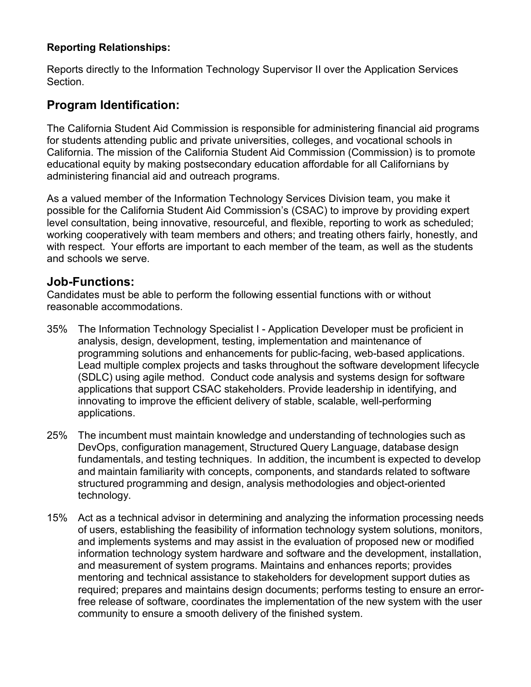#### **Reporting Relationships:**

Reports directly to the Information Technology Supervisor II over the Application Services Section.

## **Program Identification:**

The California Student Aid Commission is responsible for administering financial aid programs for students attending public and private universities, colleges, and vocational schools in California. The mission of the California Student Aid Commission (Commission) is to promote educational equity by making postsecondary education affordable for all Californians by administering financial aid and outreach programs.

As a valued member of the Information Technology Services Division team, you make it possible for the California Student Aid Commission's (CSAC) to improve by providing expert level consultation, being innovative, resourceful, and flexible, reporting to work as scheduled; working cooperatively with team members and others; and treating others fairly, honestly, and with respect. Your efforts are important to each member of the team, as well as the students and schools we serve.

### **Job-Functions:**

Candidates must be able to perform the following essential functions with or without reasonable accommodations.

- 35% The Information Technology Specialist I Application Developer must be proficient in analysis, design, development, testing, implementation and maintenance of programming solutions and enhancements for public-facing, web-based applications. Lead multiple complex projects and tasks throughout the software development lifecycle (SDLC) using agile method. Conduct code analysis and systems design for software applications that support CSAC stakeholders. Provide leadership in identifying, and innovating to improve the efficient delivery of stable, scalable, well-performing applications.
- 25% The incumbent must maintain knowledge and understanding of technologies such as DevOps, configuration management, Structured Query Language, database design fundamentals, and testing techniques. In addition, the incumbent is expected to develop and maintain familiarity with concepts, components, and standards related to software structured programming and design, analysis methodologies and object-oriented technology.
- 15% Act as a technical advisor in determining and analyzing the information processing needs of users, establishing the feasibility of information technology system solutions, monitors, and implements systems and may assist in the evaluation of proposed new or modified information technology system hardware and software and the development, installation, and measurement of system programs. Maintains and enhances reports; provides mentoring and technical assistance to stakeholders for development support duties as required; prepares and maintains design documents; performs testing to ensure an errorfree release of software, coordinates the implementation of the new system with the user community to ensure a smooth delivery of the finished system.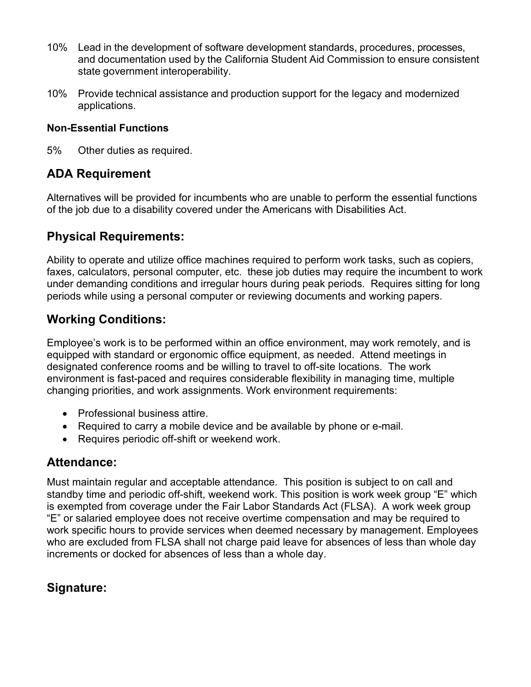- 10% Lead in the development of software development standards, procedures, processes, and documentation used by the California Student Aid Commission to ensure consistent state government interoperability.
- 10% Provide technical assistance and production support for the legacy and modernized applications.

#### **Non-Essential Functions**

5% Other duties as required.

# **ADA Requirement**

Alternatives will be provided for incumbents who are unable to perform the essential functions of the job due to a disability covered under the Americans with Disabilities Act.

# **Physical Requirements:**

Ability to operate and utilize office machines required to perform work tasks, such as copiers, faxes, calculators, personal computer, etc. these job duties may require the incumbent to work under demanding conditions and irregular hours during peak periods. Requires sitting for long periods while using a personal computer or reviewing documents and working papers.

# **Working Conditions:**

Employee's work is to be performed within an office environment, may work remotely, and is equipped with standard or ergonomic office equipment, as needed. Attend meetings in designated conference rooms and be willing to travel to off-site locations. The work environment is fast-paced and requires considerable flexibility in managing time, multiple changing priorities, and work assignments. Work environment requirements:

- Professional business attire.
- Required to carry a mobile device and be available by phone or e-mail.
- Requires periodic off-shift or weekend work.

# **Attendance:**

Must maintain regular and acceptable attendance. This position is subject to on call and standby time and periodic off-shift, weekend work. This position is work week group "E" which is exempted from coverage under the Fair Labor Standards Act (FLSA). A work week group "E" or salaried employee does not receive overtime compensation and may be required to work specific hours to provide services when deemed necessary by management. Employees who are excluded from FLSA shall not charge paid leave for absences of less than whole day increments or docked for absences of less than a whole day.

# **Signature:**